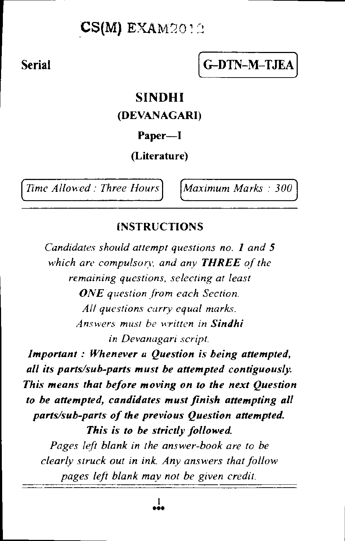## $CS(M)$  EXAM2012

# Serial G-DTN-M-TJEA

### **SINDHI**

#### (DEVANAGARI)

#### Paper—I

#### (Literature)

*Time Allowed : Three Hours* Maximum Marks : 300

#### **INSTRUCTIONS**

*Candidates should attempt questions no. l and* 5 *which are compulsory, and any THREE of the remaining questions, selecting at least ONE question from each Section. All questions carry equal marks. Answers must be written in Sindhi in Devanagari script.* 

*Important : Whenever a Question is being attempted, all its parts/sub-parts must be attempted contiguously. This means that before moving on to the next Question to be attempted, candidates must finish attempting all parts/sub-parts of the previous Question attempted. This is to be strictly followed. Pages left blank in the answer-book are to be clearly struck out in ink. Any answers that follow pages left blank may not be given credit.*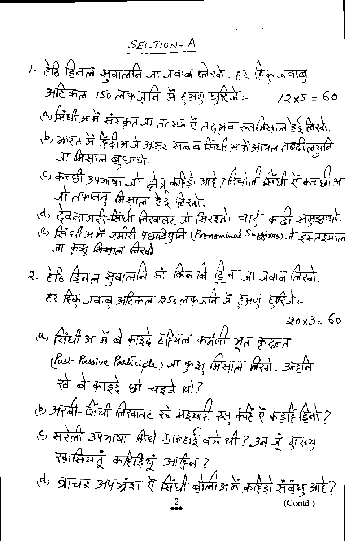$SECTION - A$ 

1- टेडि डिलल सुवालानि जा जवाब ग्लेखो. हर हिरू जवाबु अदिकल 150 लक्ज़ानि में टुअणु छुरिजे  $72x5 = 60$ ्षेत्री के बाहिली कर कार को समाप्त गर मन की संस्कृति के स्वामी (P) , कारत में हिंदी मार्ज अर्कर सेनक प्रदेश के अपने से मज़ार (d, ऑ क्रिसान बुधायी. एं के रही उपयाया और अहिड़ा आहे? विचाली रिम्ही रें के रही अ र्गा तफ़ावतु क्षिसात डेर्ड किस्मा ति स्विनाजरी-सिंधी लिखावर जो सिरश्तों चार्ड कडी सेमसायों.<br>(<sup>d)</sup> देवनाजरी-सिंधी लिखावर जो सिरश्तों चार्ड कडी सेमसायों.<br>(<sup>e)</sup> सिंच्*गी से जमीरी प्रधार्श्चि*नि (Pronominal Suffixes) जे इस्त्रहम्रात .जा कुझ् भिभात *नि*रवा हर हिफ़ जवाबु अटिकाम 250 लफ़रानि में हुआए *द्*रिजेय 20x3= 60 (a) सिंही आ में बे काईदे ठॅहियल कर्मणा भूत के ढूलत (Past-Passive Participite) NT gr 27 (Hall Mart). 30Ela खे बे काईदे धो चइते थो? (b) अरबी-सिंघी लिखावर रेवे मेइयारी रुप केहि ऐं फड़हिं डिलो ? G सरेला उपत्राष्ट्रा क्रिये गाल्हाई वर्ष थी ? उन मूँ मुख्य स्वासियतुं कहीईयुं आहिन? (d, ब्राचड अपश्रेश रैं सिंधी बीला अर्थ करिश सैंबुध और?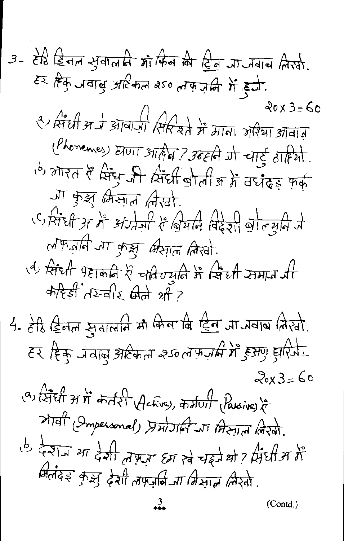3- 812 
$$
\frac{12}{12}
$$
 and 37  $\frac{1}{12}$  and 37  $\frac{1}{12}$  and 38  $\frac{1}{12}$  and 37  $\frac{1}{12}$  and 37  $\frac{1}{12}$  and 37  $\frac{1}{12}$  and 37  $\frac{1}{12}$  and 37  $\frac{1}{12}$  and 37  $\frac{1}{12}$  and 37  $\frac{1}{12}$  and 37  $\frac{1}{12}$  and 37  $\frac{1}{12}$  and 37  $\frac{1}{12}$  and 37  $\frac{1}{12}$  and 37  $\frac{1}{12}$  and 37  $\frac{1}{12}$  and 37  $\frac{1}{12}$  and 37  $\frac{1}{12}$  and 37  $\frac{1}{12}$  and 37  $\frac{1}{12}$  and 37  $\frac{1}{12}$  and 37  $\frac{1}{12}$  and 37  $\frac{1}{12}$  and 37  $\frac{1}{12}$  and 37  $\frac{1}{12}$  and 37  $\frac{1}{12}$  and 37  $\frac{1}{12}$  and 37  $\frac{1}{12}$  and 37  $\frac{1}{12}$  and 37  $\frac{1}{12}$  and 37  $\frac{1}{12}$  and 37  $\frac{1}{12}$  and 37  $\frac{1}{12}$  and 37  $\frac{1}{12}$  and 37  $\frac{1}{12}$  and 37  $\frac{1}{12}$  and 37  $\frac{1}{12}$  and 37  $\frac{1}{12}$  and 37  $\frac{1}{12}$  and 37  $\frac{1}{12}$  and 37  $\frac{1}{12}$  and 37  $\frac{1}{12}$  and 37  $\frac{1}{12}$  and 37  $\frac{1}{12}$  and 37  $\frac{1}{12}$  and 37  $\frac{1}{12}$  and 37  $\frac{1$ 

Ŷ,

 $\frac{3}{1}$ 

 $(Cond.)$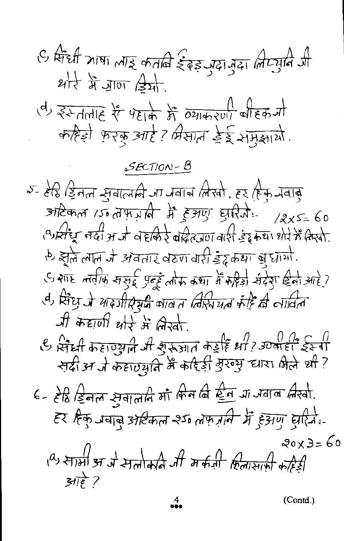(Contd.)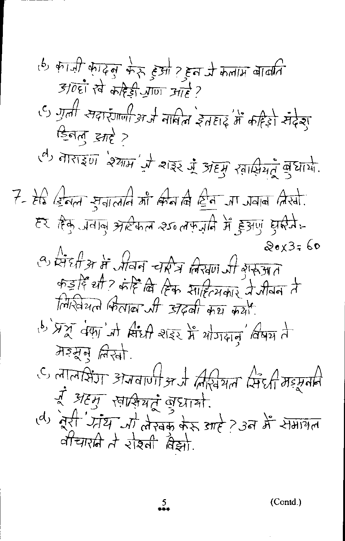$(Contd.)$